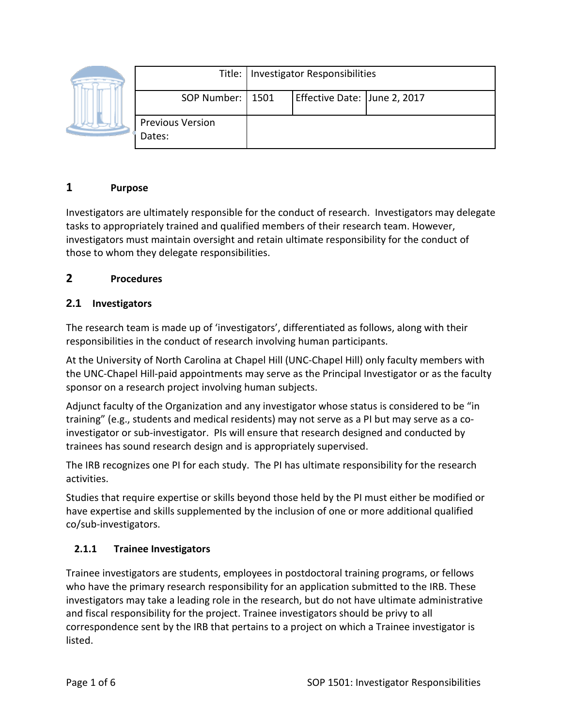|  |                                   | Title:   Investigator Responsibilities |                              |  |
|--|-----------------------------------|----------------------------------------|------------------------------|--|
|  | SOP Number:   1501                |                                        | Effective Date: June 2, 2017 |  |
|  | <b>Previous Version</b><br>Dates: |                                        |                              |  |

## **1 Purpose**

Investigators are ultimately responsible for the conduct of research. Investigators may delegate tasks to appropriately trained and qualified members of their research team. However, investigators must maintain oversight and retain ultimate responsibility for the conduct of those to whom they delegate responsibilities.

## **2 Procedures**

## **2.1 Investigators**

The research team is made up of 'investigators', differentiated as follows, along with their responsibilities in the conduct of research involving human participants.

At the University of North Carolina at Chapel Hill (UNC-Chapel Hill) only faculty members with the UNC-Chapel Hill-paid appointments may serve as the Principal Investigator or as the faculty sponsor on a research project involving human subjects.

Adjunct faculty of the Organization and any investigator whose status is considered to be "in training" (e.g., students and medical residents) may not serve as a PI but may serve as a coinvestigator or sub-investigator. PIs will ensure that research designed and conducted by trainees has sound research design and is appropriately supervised.

The IRB recognizes one PI for each study. The PI has ultimate responsibility for the research activities.

Studies that require expertise or skills beyond those held by the PI must either be modified or have expertise and skills supplemented by the inclusion of one or more additional qualified co/sub-investigators.

# **2.1.1 Trainee Investigators**

Trainee investigators are students, employees in postdoctoral training programs, or fellows who have the primary research responsibility for an application submitted to the IRB. These investigators may take a leading role in the research, but do not have ultimate administrative and fiscal responsibility for the project. Trainee investigators should be privy to all correspondence sent by the IRB that pertains to a project on which a Trainee investigator is listed.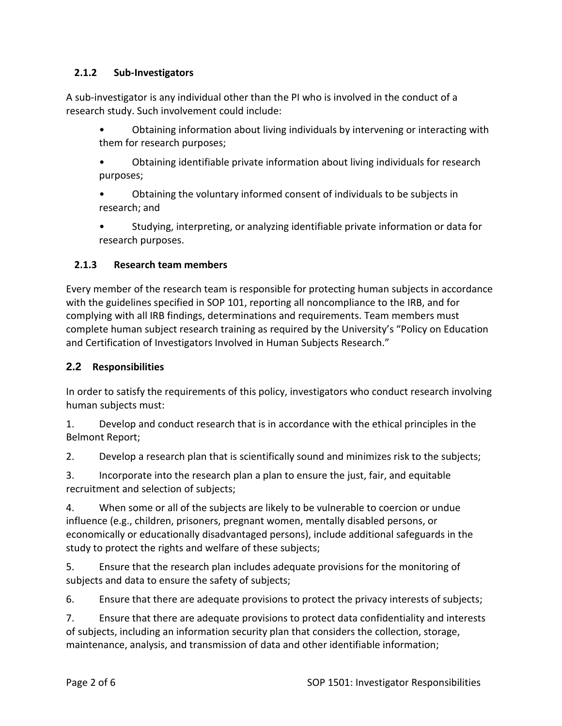## **2.1.2 Sub-Investigators**

A sub-investigator is any individual other than the PI who is involved in the conduct of a research study. Such involvement could include:

• Obtaining information about living individuals by intervening or interacting with them for research purposes;

• Obtaining identifiable private information about living individuals for research purposes;

• Obtaining the voluntary informed consent of individuals to be subjects in research; and

• Studying, interpreting, or analyzing identifiable private information or data for research purposes.

## **2.1.3 Research team members**

Every member of the research team is responsible for protecting human subjects in accordance with the guidelines specified in SOP 101, reporting all noncompliance to the IRB, and for complying with all IRB findings, determinations and requirements. Team members must complete human subject research training as required by the University's "Policy on Education and Certification of Investigators Involved in Human Subjects Research."

## **2.2 Responsibilities**

In order to satisfy the requirements of this policy, investigators who conduct research involving human subjects must:

1. Develop and conduct research that is in accordance with the ethical principles in the Belmont Report;

2. Develop a research plan that is scientifically sound and minimizes risk to the subjects;

3. Incorporate into the research plan a plan to ensure the just, fair, and equitable recruitment and selection of subjects;

4. When some or all of the subjects are likely to be vulnerable to coercion or undue influence (e.g., children, prisoners, pregnant women, mentally disabled persons, or economically or educationally disadvantaged persons), include additional safeguards in the study to protect the rights and welfare of these subjects;

5. Ensure that the research plan includes adequate provisions for the monitoring of subjects and data to ensure the safety of subjects;

6. Ensure that there are adequate provisions to protect the privacy interests of subjects;

7. Ensure that there are adequate provisions to protect data confidentiality and interests of subjects, including an information security plan that considers the collection, storage, maintenance, analysis, and transmission of data and other identifiable information;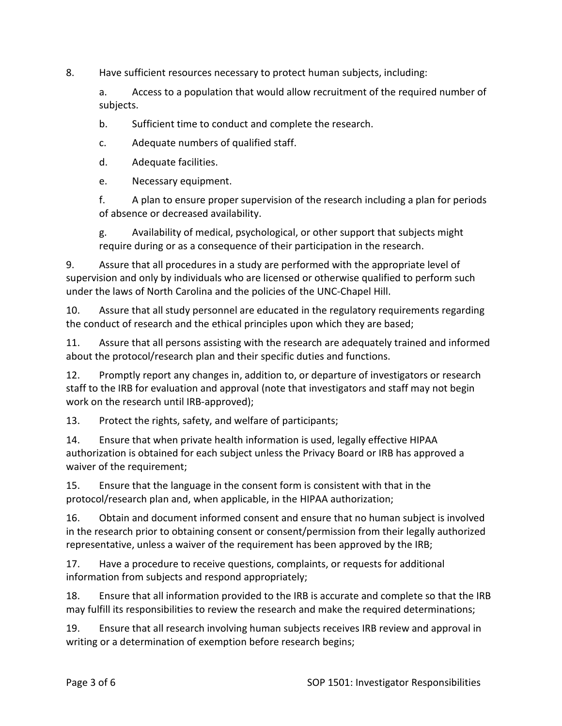8. Have sufficient resources necessary to protect human subjects, including:

a. Access to a population that would allow recruitment of the required number of subjects.

b. Sufficient time to conduct and complete the research.

c. Adequate numbers of qualified staff.

d. Adequate facilities.

e. Necessary equipment.

f. A plan to ensure proper supervision of the research including a plan for periods of absence or decreased availability.

g. Availability of medical, psychological, or other support that subjects might require during or as a consequence of their participation in the research.

9. Assure that all procedures in a study are performed with the appropriate level of supervision and only by individuals who are licensed or otherwise qualified to perform such under the laws of North Carolina and the policies of the UNC-Chapel Hill.

10. Assure that all study personnel are educated in the regulatory requirements regarding the conduct of research and the ethical principles upon which they are based;

11. Assure that all persons assisting with the research are adequately trained and informed about the protocol/research plan and their specific duties and functions.

12. Promptly report any changes in, addition to, or departure of investigators or research staff to the IRB for evaluation and approval (note that investigators and staff may not begin work on the research until IRB-approved);

13. Protect the rights, safety, and welfare of participants;

14. Ensure that when private health information is used, legally effective HIPAA authorization is obtained for each subject unless the Privacy Board or IRB has approved a waiver of the requirement;

15. Ensure that the language in the consent form is consistent with that in the protocol/research plan and, when applicable, in the HIPAA authorization;

16. Obtain and document informed consent and ensure that no human subject is involved in the research prior to obtaining consent or consent/permission from their legally authorized representative, unless a waiver of the requirement has been approved by the IRB;

17. Have a procedure to receive questions, complaints, or requests for additional information from subjects and respond appropriately;

18. Ensure that all information provided to the IRB is accurate and complete so that the IRB may fulfill its responsibilities to review the research and make the required determinations;

19. Ensure that all research involving human subjects receives IRB review and approval in writing or a determination of exemption before research begins;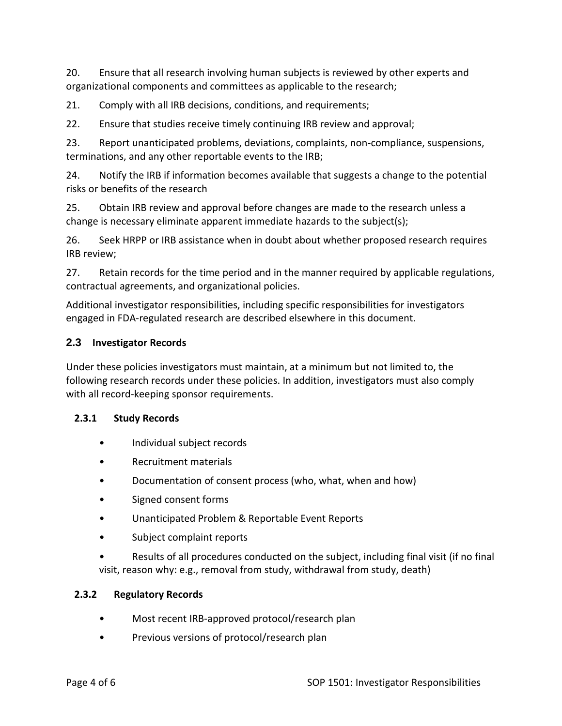20. Ensure that all research involving human subjects is reviewed by other experts and organizational components and committees as applicable to the research;

21. Comply with all IRB decisions, conditions, and requirements;

22. Ensure that studies receive timely continuing IRB review and approval;

23. Report unanticipated problems, deviations, complaints, non-compliance, suspensions, terminations, and any other reportable events to the IRB;

24. Notify the IRB if information becomes available that suggests a change to the potential risks or benefits of the research

25. Obtain IRB review and approval before changes are made to the research unless a change is necessary eliminate apparent immediate hazards to the subject(s);

26. Seek HRPP or IRB assistance when in doubt about whether proposed research requires IRB review;

27. Retain records for the time period and in the manner required by applicable regulations, contractual agreements, and organizational policies.

Additional investigator responsibilities, including specific responsibilities for investigators engaged in FDA-regulated research are described elsewhere in this document.

#### **2.3 Investigator Records**

Under these policies investigators must maintain, at a minimum but not limited to, the following research records under these policies. In addition, investigators must also comply with all record-keeping sponsor requirements.

#### **2.3.1 Study Records**

- Individual subject records
- Recruitment materials
- Documentation of consent process (who, what, when and how)
- Signed consent forms
- Unanticipated Problem & Reportable Event Reports
- Subject complaint reports

• Results of all procedures conducted on the subject, including final visit (if no final visit, reason why: e.g., removal from study, withdrawal from study, death)

#### **2.3.2 Regulatory Records**

- Most recent IRB-approved protocol/research plan
- Previous versions of protocol/research plan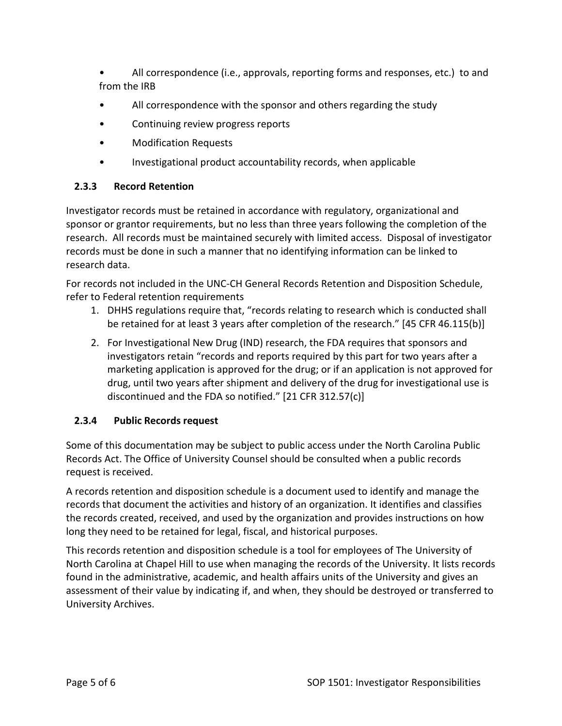• All correspondence (i.e., approvals, reporting forms and responses, etc.) to and from the IRB

- All correspondence with the sponsor and others regarding the study
- Continuing review progress reports
- Modification Requests
- Investigational product accountability records, when applicable

## **2.3.3 Record Retention**

Investigator records must be retained in accordance with regulatory, organizational and sponsor or grantor requirements, but no less than three years following the completion of the research. All records must be maintained securely with limited access. Disposal of investigator records must be done in such a manner that no identifying information can be linked to research data.

For records not included in the UNC-CH General Records Retention and Disposition Schedule, refer to Federal retention requirements

- 1. DHHS regulations require that, "records relating to research which is conducted shall be retained for at least 3 years after completion of the research." [45 CFR 46.115(b)]
- 2. For Investigational New Drug (IND) research, the FDA requires that sponsors and investigators retain "records and reports required by this part for two years after a marketing application is approved for the drug; or if an application is not approved for drug, until two years after shipment and delivery of the drug for investigational use is discontinued and the FDA so notified." [21 CFR 312.57(c)]

#### **2.3.4 Public Records request**

Some of this documentation may be subject to public access under the North Carolina Public Records Act. The Office of University Counsel should be consulted when a public records request is received.

A records retention and disposition schedule is a document used to identify and manage the records that document the activities and history of an organization. It identifies and classifies the records created, received, and used by the organization and provides instructions on how long they need to be retained for legal, fiscal, and historical purposes.

This records retention and disposition schedule is a tool for employees of The University of North Carolina at Chapel Hill to use when managing the records of the University. It lists records found in the administrative, academic, and health affairs units of the University and gives an assessment of their value by indicating if, and when, they should be destroyed or transferred to University Archives.